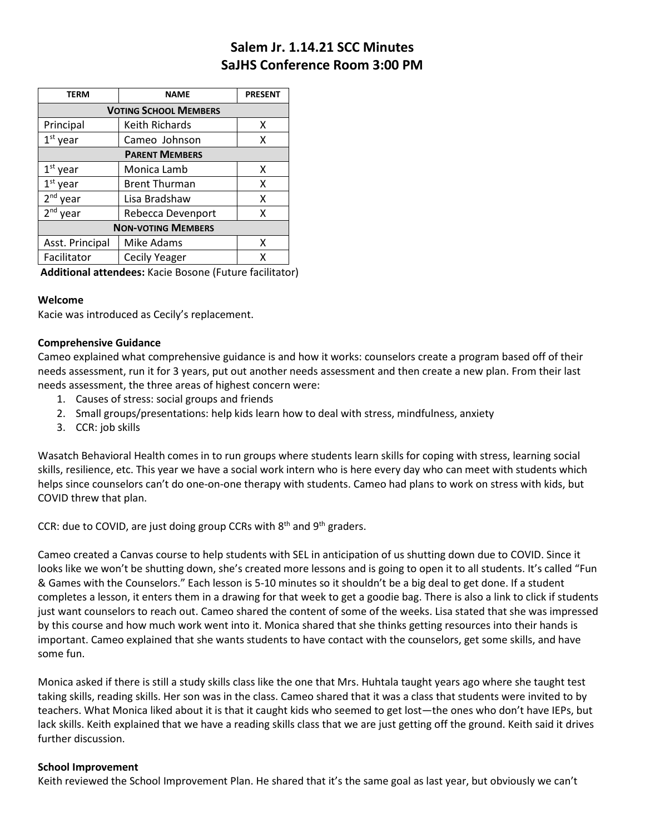# **Salem Jr. 1.14.21 SCC Minutes SaJHS Conference Room 3:00 PM**

| TERM                         | <b>NAME</b>          | <b>PRESENT</b> |
|------------------------------|----------------------|----------------|
| <b>VOTING SCHOOL MEMBERS</b> |                      |                |
| Principal                    | Keith Richards       | x              |
| $1st$ year                   | Cameo Johnson        | x              |
| <b>PARENT MEMBERS</b>        |                      |                |
| $1st$ year                   | Monica Lamb          | x              |
| $1st$ year                   | <b>Brent Thurman</b> | x              |
| 2 <sup>nd</sup> year         | Lisa Bradshaw        | x              |
| $2nd$ year                   | Rebecca Devenport    | x              |
| <b>NON-VOTING MEMBERS</b>    |                      |                |
| Asst. Principal              | Mike Adams           | x              |
| Facilitator                  | <b>Cecily Yeager</b> | x              |

**Additional attendees:** Kacie Bosone (Future facilitator)

#### **Welcome**

Kacie was introduced as Cecily's replacement.

#### **Comprehensive Guidance**

Cameo explained what comprehensive guidance is and how it works: counselors create a program based off of their needs assessment, run it for 3 years, put out another needs assessment and then create a new plan. From their last needs assessment, the three areas of highest concern were:

- 1. Causes of stress: social groups and friends
- 2. Small groups/presentations: help kids learn how to deal with stress, mindfulness, anxiety
- 3. CCR: job skills

Wasatch Behavioral Health comes in to run groups where students learn skills for coping with stress, learning social skills, resilience, etc. This year we have a social work intern who is here every day who can meet with students which helps since counselors can't do one-on-one therapy with students. Cameo had plans to work on stress with kids, but COVID threw that plan.

CCR: due to COVID, are just doing group CCRs with  $8<sup>th</sup>$  and  $9<sup>th</sup>$  graders.

Cameo created a Canvas course to help students with SEL in anticipation of us shutting down due to COVID. Since it looks like we won't be shutting down, she's created more lessons and is going to open it to all students. It's called "Fun & Games with the Counselors." Each lesson is 5-10 minutes so it shouldn't be a big deal to get done. If a student completes a lesson, it enters them in a drawing for that week to get a goodie bag. There is also a link to click if students just want counselors to reach out. Cameo shared the content of some of the weeks. Lisa stated that she was impressed by this course and how much work went into it. Monica shared that she thinks getting resources into their hands is important. Cameo explained that she wants students to have contact with the counselors, get some skills, and have some fun.

Monica asked if there is still a study skills class like the one that Mrs. Huhtala taught years ago where she taught test taking skills, reading skills. Her son was in the class. Cameo shared that it was a class that students were invited to by teachers. What Monica liked about it is that it caught kids who seemed to get lost—the ones who don't have IEPs, but lack skills. Keith explained that we have a reading skills class that we are just getting off the ground. Keith said it drives further discussion.

#### **School Improvement**

Keith reviewed the School Improvement Plan. He shared that it's the same goal as last year, but obviously we can't